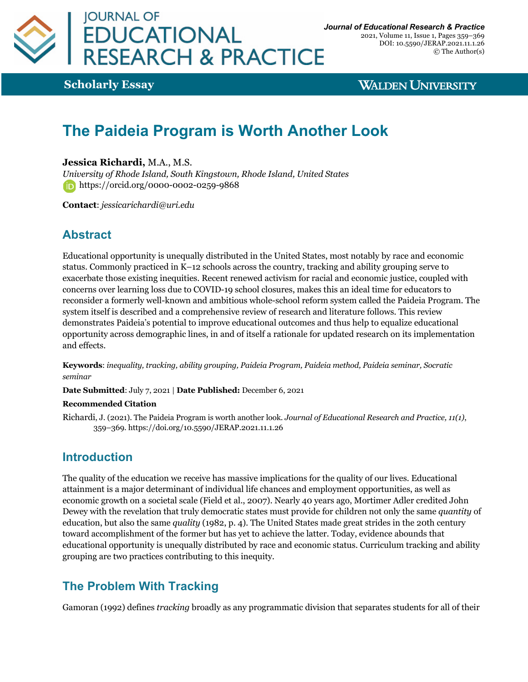

2021, Volume 11, Issue 1, Pages 359–369 DOI: 10.5590/JERAP.2021.11.1.26 © The Author(s)

**Scholarly Essay**

**WALDEN UNIVERSITY** 

# **The Paideia Program is Worth Another Look**

#### **Jessica Richardi,** M.A., M.S.

*University of Rhode Island, South Kingstown, Rhode Island, United States* https://orcid.org/0000-0002-0259-9868

**Contact**: *jessicarichardi@uri.edu*

## **Abstract**

Educational opportunity is unequally distributed in the United States, most notably by race and economic status. Commonly practiced in K–12 schools across the country, tracking and ability grouping serve to exacerbate those existing inequities. Recent renewed activism for racial and economic justice, coupled with concerns over learning loss due to COVID-19 school closures, makes this an ideal time for educators to reconsider a formerly well-known and ambitious whole-school reform system called the Paideia Program. The system itself is described and a comprehensive review of research and literature follows. This review demonstrates Paideia's potential to improve educational outcomes and thus help to equalize educational opportunity across demographic lines, in and of itself a rationale for updated research on its implementation and effects.

**Keywords**: *inequality, tracking, ability grouping, Paideia Program, Paideia method, Paideia seminar, Socratic seminar*

**Date Submitted**: July 7, 2021 | **Date Published:** December 6, 2021

#### **Recommended Citation**

Richardi, J. (2021). The Paideia Program is worth another look. *Journal of Educational Research and Practice, 11(1)*, 359–369. https://doi.org/10.5590/JERAP.2021.11.1.26

## **Introduction**

The quality of the education we receive has massive implications for the quality of our lives. Educational attainment is a major determinant of individual life chances and employment opportunities, as well as economic growth on a societal scale (Field et al., 2007). Nearly 40 years ago, Mortimer Adler credited John Dewey with the revelation that truly democratic states must provide for children not only the same *quantity* of education, but also the same *quality* (1982, p. 4). The United States made great strides in the 20th century toward accomplishment of the former but has yet to achieve the latter. Today, evidence abounds that educational opportunity is unequally distributed by race and economic status. Curriculum tracking and ability grouping are two practices contributing to this inequity.

# **The Problem With Tracking**

Gamoran (1992) defines *tracking* broadly as any programmatic division that separates students for all of their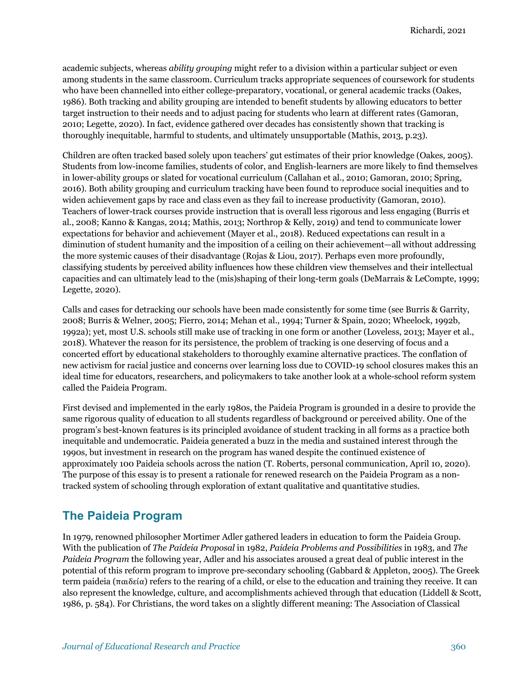academic subjects, whereas *ability grouping* might refer to a division within a particular subject or even among students in the same classroom. Curriculum tracks appropriate sequences of coursework for students who have been channelled into either college-preparatory, vocational, or general academic tracks (Oakes, 1986). Both tracking and ability grouping are intended to benefit students by allowing educators to better target instruction to their needs and to adjust pacing for students who learn at different rates (Gamoran, 2010; Legette, 2020). In fact, evidence gathered over decades has consistently shown that tracking is thoroughly inequitable, harmful to students, and ultimately unsupportable (Mathis, 2013, p.23).

Children are often tracked based solely upon teachers' gut estimates of their prior knowledge (Oakes, 2005). Students from low-income families, students of color, and English-learners are more likely to find themselves in lower-ability groups or slated for vocational curriculum (Callahan et al., 2010; Gamoran, 2010; Spring, 2016). Both ability grouping and curriculum tracking have been found to reproduce social inequities and to widen achievement gaps by race and class even as they fail to increase productivity (Gamoran, 2010). Teachers of lower-track courses provide instruction that is overall less rigorous and less engaging (Burris et al., 2008; Kanno & Kangas, 2014; Mathis, 2013; Northrop & Kelly, 2019) and tend to communicate lower expectations for behavior and achievement (Mayer et al., 2018). Reduced expectations can result in a diminution of student humanity and the imposition of a ceiling on their achievement—all without addressing the more systemic causes of their disadvantage (Rojas & Liou, 2017). Perhaps even more profoundly, classifying students by perceived ability influences how these children view themselves and their intellectual capacities and can ultimately lead to the (mis)shaping of their long-term goals (DeMarrais & LeCompte, 1999; Legette, 2020).

Calls and cases for detracking our schools have been made consistently for some time (see Burris & Garrity, 2008; Burris & Welner, 2005; Fierro, 2014; Mehan et al., 1994; Turner & Spain, 2020; Wheelock, 1992b, 1992a); yet, most U.S. schools still make use of tracking in one form or another (Loveless, 2013; Mayer et al., 2018). Whatever the reason for its persistence, the problem of tracking is one deserving of focus and a concerted effort by educational stakeholders to thoroughly examine alternative practices. The conflation of new activism for racial justice and concerns over learning loss due to COVID-19 school closures makes this an ideal time for educators, researchers, and policymakers to take another look at a whole-school reform system called the Paideia Program.

First devised and implemented in the early 1980s, the Paideia Program is grounded in a desire to provide the same rigorous quality of education to all students regardless of background or perceived ability. One of the program's best-known features is its principled avoidance of student tracking in all forms as a practice both inequitable and undemocratic. Paideia generated a buzz in the media and sustained interest through the 1990s, but investment in research on the program has waned despite the continued existence of approximately 100 Paideia schools across the nation (T. Roberts, personal communication, April 10, 2020). The purpose of this essay is to present a rationale for renewed research on the Paideia Program as a nontracked system of schooling through exploration of extant qualitative and quantitative studies.

### **The Paideia Program**

In 1979, renowned philosopher Mortimer Adler gathered leaders in education to form the Paideia Group. With the publication of *The Paideia Proposal* in 1982, *Paideia Problems and Possibilities* in 1983, and *The Paideia Program* the following year, Adler and his associates aroused a great deal of public interest in the potential of this reform program to improve pre-secondary schooling (Gabbard & Appleton, 2005). The Greek term paideia (παιδεία) refers to the rearing of a child, or else to the education and training they receive. It can also represent the knowledge, culture, and accomplishments achieved through that education (Liddell & Scott, 1986, p. 584). For Christians, the word takes on a slightly different meaning: The Association of Classical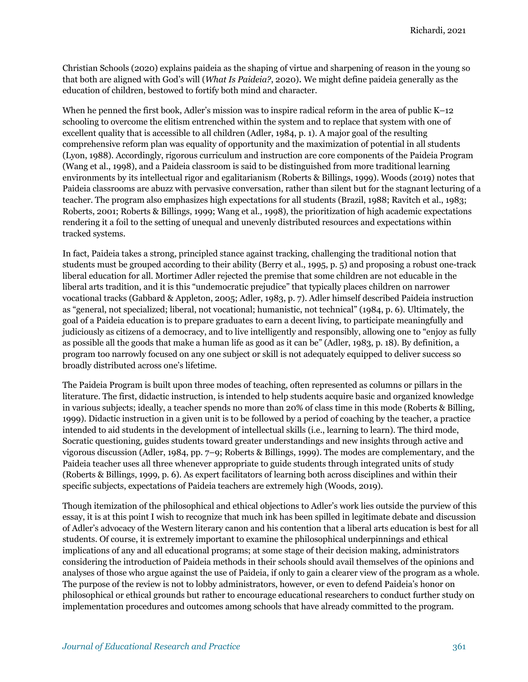Christian Schools (2020) explains paideia as the shaping of virtue and sharpening of reason in the young so that both are aligned with God's will (*What Is Paideia?*, 2020). We might define paideia generally as the education of children, bestowed to fortify both mind and character.

When he penned the first book, Adler's mission was to inspire radical reform in the area of public K–12 schooling to overcome the elitism entrenched within the system and to replace that system with one of excellent quality that is accessible to all children (Adler, 1984, p. 1). A major goal of the resulting comprehensive reform plan was equality of opportunity and the maximization of potential in all students (Lyon, 1988). Accordingly, rigorous curriculum and instruction are core components of the Paideia Program (Wang et al., 1998), and a Paideia classroom is said to be distinguished from more traditional learning environments by its intellectual rigor and egalitarianism (Roberts & Billings, 1999). Woods (2019) notes that Paideia classrooms are abuzz with pervasive conversation, rather than silent but for the stagnant lecturing of a teacher. The program also emphasizes high expectations for all students (Brazil, 1988; Ravitch et al., 1983; Roberts, 2001; Roberts & Billings, 1999; Wang et al., 1998), the prioritization of high academic expectations rendering it a foil to the setting of unequal and unevenly distributed resources and expectations within tracked systems.

In fact, Paideia takes a strong, principled stance against tracking, challenging the traditional notion that students must be grouped according to their ability (Berry et al., 1995, p. 5) and proposing a robust one-track liberal education for all. Mortimer Adler rejected the premise that some children are not educable in the liberal arts tradition, and it is this "undemocratic prejudice" that typically places children on narrower vocational tracks (Gabbard & Appleton, 2005; Adler, 1983, p. 7). Adler himself described Paideia instruction as "general, not specialized; liberal, not vocational; humanistic, not technical" (1984, p. 6). Ultimately, the goal of a Paideia education is to prepare graduates to earn a decent living, to participate meaningfully and judiciously as citizens of a democracy, and to live intelligently and responsibly, allowing one to "enjoy as fully as possible all the goods that make a human life as good as it can be" (Adler, 1983, p. 18). By definition, a program too narrowly focused on any one subject or skill is not adequately equipped to deliver success so broadly distributed across one's lifetime.

The Paideia Program is built upon three modes of teaching, often represented as columns or pillars in the literature. The first, didactic instruction, is intended to help students acquire basic and organized knowledge in various subjects; ideally, a teacher spends no more than 20% of class time in this mode (Roberts & Billing, 1999). Didactic instruction in a given unit is to be followed by a period of coaching by the teacher, a practice intended to aid students in the development of intellectual skills (i.e., learning to learn). The third mode, Socratic questioning, guides students toward greater understandings and new insights through active and vigorous discussion (Adler, 1984, pp. 7–9; Roberts & Billings, 1999). The modes are complementary, and the Paideia teacher uses all three whenever appropriate to guide students through integrated units of study (Roberts & Billings, 1999, p. 6). As expert facilitators of learning both across disciplines and within their specific subjects, expectations of Paideia teachers are extremely high (Woods, 2019).

Though itemization of the philosophical and ethical objections to Adler's work lies outside the purview of this essay, it is at this point I wish to recognize that much ink has been spilled in legitimate debate and discussion of Adler's advocacy of the Western literary canon and his contention that a liberal arts education is best for all students. Of course, it is extremely important to examine the philosophical underpinnings and ethical implications of any and all educational programs; at some stage of their decision making, administrators considering the introduction of Paideia methods in their schools should avail themselves of the opinions and analyses of those who argue against the use of Paideia, if only to gain a clearer view of the program as a whole. The purpose of the review is not to lobby administrators, however, or even to defend Paideia's honor on philosophical or ethical grounds but rather to encourage educational researchers to conduct further study on implementation procedures and outcomes among schools that have already committed to the program.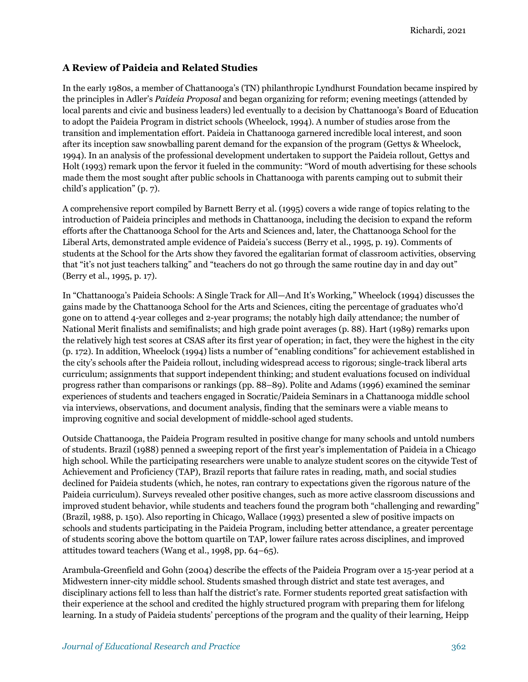#### **A Review of Paideia and Related Studies**

In the early 1980s, a member of Chattanooga's (TN) philanthropic Lyndhurst Foundation became inspired by the principles in Adler's *Paideia Proposal* and began organizing for reform; evening meetings (attended by local parents and civic and business leaders) led eventually to a decision by Chattanooga's Board of Education to adopt the Paideia Program in district schools (Wheelock, 1994). A number of studies arose from the transition and implementation effort. Paideia in Chattanooga garnered incredible local interest, and soon after its inception saw snowballing parent demand for the expansion of the program (Gettys & Wheelock, 1994). In an analysis of the professional development undertaken to support the Paideia rollout, Gettys and Holt (1993) remark upon the fervor it fueled in the community: "Word of mouth advertising for these schools made them the most sought after public schools in Chattanooga with parents camping out to submit their child's application" (p. 7).

A comprehensive report compiled by Barnett Berry et al. (1995) covers a wide range of topics relating to the introduction of Paideia principles and methods in Chattanooga, including the decision to expand the reform efforts after the Chattanooga School for the Arts and Sciences and, later, the Chattanooga School for the Liberal Arts, demonstrated ample evidence of Paideia's success (Berry et al., 1995, p. 19). Comments of students at the School for the Arts show they favored the egalitarian format of classroom activities, observing that "it's not just teachers talking" and "teachers do not go through the same routine day in and day out" (Berry et al., 1995, p. 17).

In "Chattanooga's Paideia Schools: A Single Track for All—And It's Working," Wheelock (1994) discusses the gains made by the Chattanooga School for the Arts and Sciences, citing the percentage of graduates who'd gone on to attend 4-year colleges and 2-year programs; the notably high daily attendance; the number of National Merit finalists and semifinalists; and high grade point averages (p. 88). Hart (1989) remarks upon the relatively high test scores at CSAS after its first year of operation; in fact, they were the highest in the city (p. 172). In addition, Wheelock (1994) lists a number of "enabling conditions" for achievement established in the city's schools after the Paideia rollout, including widespread access to rigorous; single-track liberal arts curriculum; assignments that support independent thinking; and student evaluations focused on individual progress rather than comparisons or rankings (pp. 88–89). Polite and Adams (1996) examined the seminar experiences of students and teachers engaged in Socratic/Paideia Seminars in a Chattanooga middle school via interviews, observations, and document analysis, finding that the seminars were a viable means to improving cognitive and social development of middle-school aged students.

Outside Chattanooga, the Paideia Program resulted in positive change for many schools and untold numbers of students. Brazil (1988) penned a sweeping report of the first year's implementation of Paideia in a Chicago high school. While the participating researchers were unable to analyze student scores on the citywide Test of Achievement and Proficiency (TAP), Brazil reports that failure rates in reading, math, and social studies declined for Paideia students (which, he notes, ran contrary to expectations given the rigorous nature of the Paideia curriculum). Surveys revealed other positive changes, such as more active classroom discussions and improved student behavior, while students and teachers found the program both "challenging and rewarding" (Brazil, 1988, p. 150). Also reporting in Chicago, Wallace (1993) presented a slew of positive impacts on schools and students participating in the Paideia Program, including better attendance, a greater percentage of students scoring above the bottom quartile on TAP, lower failure rates across disciplines, and improved attitudes toward teachers (Wang et al., 1998, pp. 64–65).

Arambula-Greenfield and Gohn (2004) describe the effects of the Paideia Program over a 15-year period at a Midwestern inner-city middle school. Students smashed through district and state test averages, and disciplinary actions fell to less than half the district's rate. Former students reported great satisfaction with their experience at the school and credited the highly structured program with preparing them for lifelong learning. In a study of Paideia students' perceptions of the program and the quality of their learning, Heipp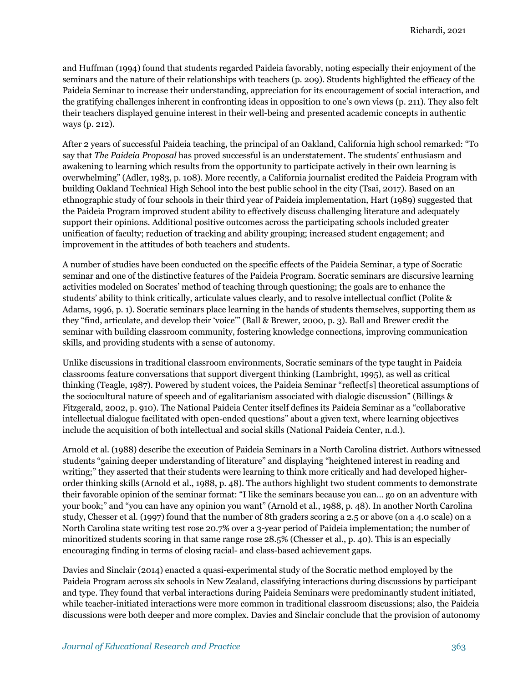and Huffman (1994) found that students regarded Paideia favorably, noting especially their enjoyment of the seminars and the nature of their relationships with teachers (p. 209). Students highlighted the efficacy of the Paideia Seminar to increase their understanding, appreciation for its encouragement of social interaction, and the gratifying challenges inherent in confronting ideas in opposition to one's own views (p. 211). They also felt their teachers displayed genuine interest in their well-being and presented academic concepts in authentic ways (p. 212).

After 2 years of successful Paideia teaching, the principal of an Oakland, California high school remarked: "To say that *The Paideia Proposal* has proved successful is an understatement. The students' enthusiasm and awakening to learning which results from the opportunity to participate actively in their own learning is overwhelming" (Adler, 1983, p. 108). More recently, a California journalist credited the Paideia Program with building Oakland Technical High School into the best public school in the city (Tsai, 2017). Based on an ethnographic study of four schools in their third year of Paideia implementation, Hart (1989) suggested that the Paideia Program improved student ability to effectively discuss challenging literature and adequately support their opinions. Additional positive outcomes across the participating schools included greater unification of faculty; reduction of tracking and ability grouping; increased student engagement; and improvement in the attitudes of both teachers and students.

A number of studies have been conducted on the specific effects of the Paideia Seminar, a type of Socratic seminar and one of the distinctive features of the Paideia Program. Socratic seminars are discursive learning activities modeled on Socrates' method of teaching through questioning; the goals are to enhance the students' ability to think critically, articulate values clearly, and to resolve intellectual conflict (Polite & Adams, 1996, p. 1). Socratic seminars place learning in the hands of students themselves, supporting them as they "find, articulate, and develop their 'voice'" (Ball & Brewer, 2000, p. 3). Ball and Brewer credit the seminar with building classroom community, fostering knowledge connections, improving communication skills, and providing students with a sense of autonomy.

Unlike discussions in traditional classroom environments, Socratic seminars of the type taught in Paideia classrooms feature conversations that support divergent thinking (Lambright, 1995), as well as critical thinking (Teagle, 1987). Powered by student voices, the Paideia Seminar "reflect[s] theoretical assumptions of the sociocultural nature of speech and of egalitarianism associated with dialogic discussion" (Billings & Fitzgerald, 2002, p. 910). The National Paideia Center itself defines its Paideia Seminar as a "collaborative intellectual dialogue facilitated with open-ended questions" about a given text, where learning objectives include the acquisition of both intellectual and social skills (National Paideia Center, n.d.).

Arnold et al. (1988) describe the execution of Paideia Seminars in a North Carolina district. Authors witnessed students "gaining deeper understanding of literature" and displaying "heightened interest in reading and writing;" they asserted that their students were learning to think more critically and had developed higherorder thinking skills (Arnold et al., 1988, p. 48). The authors highlight two student comments to demonstrate their favorable opinion of the seminar format: "I like the seminars because you can… go on an adventure with your book;" and "you can have any opinion you want" (Arnold et al., 1988, p. 48). In another North Carolina study, Chesser et al. (1997) found that the number of 8th graders scoring a 2.5 or above (on a 4.0 scale) on a North Carolina state writing test rose 20.7% over a 3-year period of Paideia implementation; the number of minoritized students scoring in that same range rose 28.5% (Chesser et al., p. 40). This is an especially encouraging finding in terms of closing racial- and class-based achievement gaps.

Davies and Sinclair (2014) enacted a quasi-experimental study of the Socratic method employed by the Paideia Program across six schools in New Zealand, classifying interactions during discussions by participant and type. They found that verbal interactions during Paideia Seminars were predominantly student initiated, while teacher-initiated interactions were more common in traditional classroom discussions; also, the Paideia discussions were both deeper and more complex. Davies and Sinclair conclude that the provision of autonomy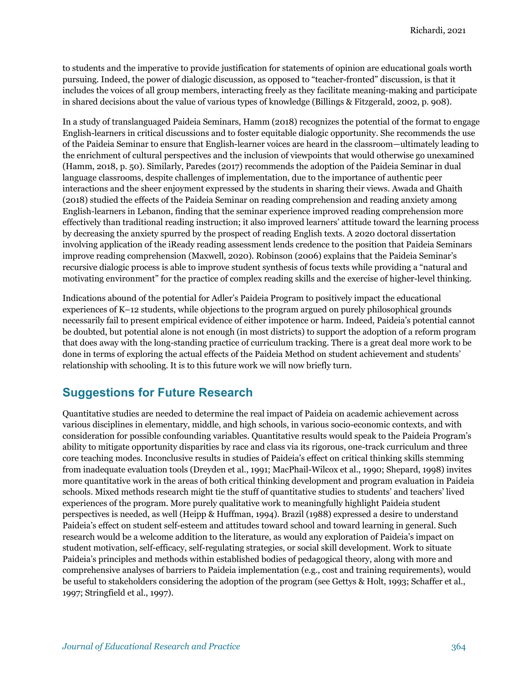to students and the imperative to provide justification for statements of opinion are educational goals worth pursuing. Indeed, the power of dialogic discussion, as opposed to "teacher-fronted" discussion, is that it includes the voices of all group members, interacting freely as they facilitate meaning-making and participate in shared decisions about the value of various types of knowledge (Billings & Fitzgerald, 2002, p. 908).

In a study of translanguaged Paideia Seminars, Hamm (2018) recognizes the potential of the format to engage English-learners in critical discussions and to foster equitable dialogic opportunity. She recommends the use of the Paideia Seminar to ensure that English-learner voices are heard in the classroom—ultimately leading to the enrichment of cultural perspectives and the inclusion of viewpoints that would otherwise go unexamined (Hamm, 2018, p. 50). Similarly, Paredes (2017) recommends the adoption of the Paideia Seminar in dual language classrooms, despite challenges of implementation, due to the importance of authentic peer interactions and the sheer enjoyment expressed by the students in sharing their views. Awada and Ghaith (2018) studied the effects of the Paideia Seminar on reading comprehension and reading anxiety among English-learners in Lebanon, finding that the seminar experience improved reading comprehension more effectively than traditional reading instruction; it also improved learners' attitude toward the learning process by decreasing the anxiety spurred by the prospect of reading English texts. A 2020 doctoral dissertation involving application of the iReady reading assessment lends credence to the position that Paideia Seminars improve reading comprehension (Maxwell, 2020). Robinson (2006) explains that the Paideia Seminar's recursive dialogic process is able to improve student synthesis of focus texts while providing a "natural and motivating environment" for the practice of complex reading skills and the exercise of higher-level thinking.

Indications abound of the potential for Adler's Paideia Program to positively impact the educational experiences of K–12 students, while objections to the program argued on purely philosophical grounds necessarily fail to present empirical evidence of either impotence or harm. Indeed, Paideia's potential cannot be doubted, but potential alone is not enough (in most districts) to support the adoption of a reform program that does away with the long-standing practice of curriculum tracking. There is a great deal more work to be done in terms of exploring the actual effects of the Paideia Method on student achievement and students' relationship with schooling. It is to this future work we will now briefly turn.

## **Suggestions for Future Research**

Quantitative studies are needed to determine the real impact of Paideia on academic achievement across various disciplines in elementary, middle, and high schools, in various socio-economic contexts, and with consideration for possible confounding variables. Quantitative results would speak to the Paideia Program's ability to mitigate opportunity disparities by race and class via its rigorous, one-track curriculum and three core teaching modes. Inconclusive results in studies of Paideia's effect on critical thinking skills stemming from inadequate evaluation tools (Dreyden et al., 1991; MacPhail-Wilcox et al., 1990; Shepard, 1998) invites more quantitative work in the areas of both critical thinking development and program evaluation in Paideia schools. Mixed methods research might tie the stuff of quantitative studies to students' and teachers' lived experiences of the program. More purely qualitative work to meaningfully highlight Paideia student perspectives is needed, as well (Heipp & Huffman, 1994). Brazil (1988) expressed a desire to understand Paideia's effect on student self-esteem and attitudes toward school and toward learning in general. Such research would be a welcome addition to the literature, as would any exploration of Paideia's impact on student motivation, self-efficacy, self-regulating strategies, or social skill development. Work to situate Paideia's principles and methods within established bodies of pedagogical theory, along with more and comprehensive analyses of barriers to Paideia implementation (e.g., cost and training requirements), would be useful to stakeholders considering the adoption of the program (see Gettys & Holt, 1993; Schaffer et al., 1997; Stringfield et al., 1997).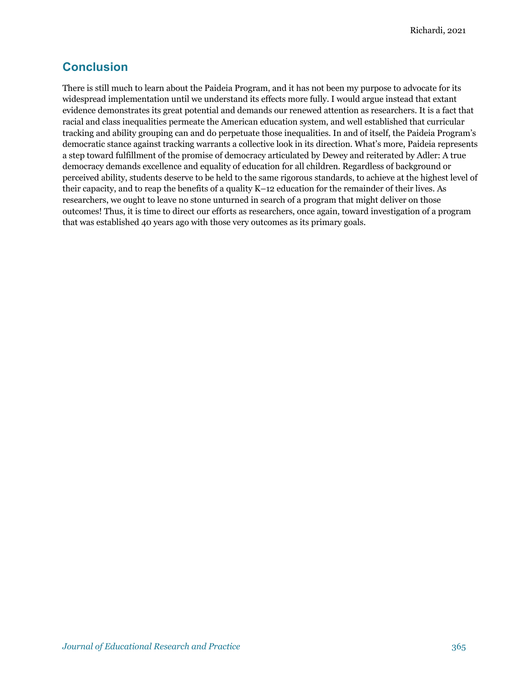## **Conclusion**

There is still much to learn about the Paideia Program, and it has not been my purpose to advocate for its widespread implementation until we understand its effects more fully. I would argue instead that extant evidence demonstrates its great potential and demands our renewed attention as researchers. It is a fact that racial and class inequalities permeate the American education system, and well established that curricular tracking and ability grouping can and do perpetuate those inequalities. In and of itself, the Paideia Program's democratic stance against tracking warrants a collective look in its direction. What's more, Paideia represents a step toward fulfillment of the promise of democracy articulated by Dewey and reiterated by Adler: A true democracy demands excellence and equality of education for all children. Regardless of background or perceived ability, students deserve to be held to the same rigorous standards, to achieve at the highest level of their capacity, and to reap the benefits of a quality K–12 education for the remainder of their lives. As researchers, we ought to leave no stone unturned in search of a program that might deliver on those outcomes! Thus, it is time to direct our efforts as researchers, once again, toward investigation of a program that was established 40 years ago with those very outcomes as its primary goals.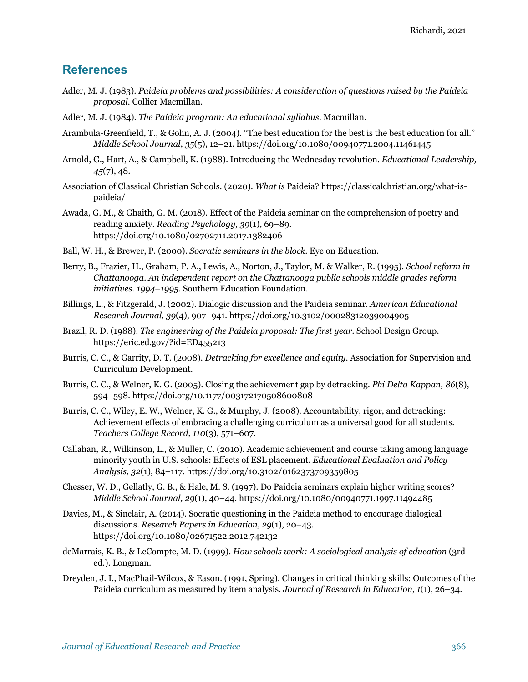#### **References**

- Adler, M. J. (1983). *Paideia problems and possibilities: A consideration of questions raised by the Paideia proposal.* Collier Macmillan.
- Adler, M. J. (1984). *The Paideia program: An educational syllabus*. Macmillan.
- Arambula-Greenfield, T., & Gohn, A. J. (2004). "The best education for the best is the best education for all." *Middle School Journal*, *35*(5), 12–21. https://doi.org/10.1080/00940771.2004.11461445
- Arnold, G., Hart, A., & Campbell, K. (1988). Introducing the Wednesday revolution. *Educational Leadership, 45*(7), 48.
- Association of Classical Christian Schools. (2020). *What is* Paideia? https://classicalchristian.org/what-ispaideia/
- Awada, G. M., & Ghaith, G. M. (2018). Effect of the Paideia seminar on the comprehension of poetry and reading anxiety. *Reading Psychology, 39*(1), 69–89. https://doi.org/10.1080/02702711.2017.1382406
- Ball, W. H., & Brewer, P. (2000). *Socratic seminars in the block*. Eye on Education.
- Berry, B., Frazier, H., Graham, P. A., Lewis, A., Norton, J., Taylor, M. & Walker, R. (1995). *School reform in Chattanooga. An independent report on the Chattanooga public schools middle grades reform initiatives. 1994–1995*. Southern Education Foundation.
- Billings, L., & Fitzgerald, J. (2002). Dialogic discussion and the Paideia seminar. *American Educational Research Journal, 39*(4), 907–941. https://doi.org/10.3102/00028312039004905
- Brazil, R. D. (1988). *The engineering of the Paideia proposal: The first year*. School Design Group. https://eric.ed.gov/?id=ED455213
- Burris, C. C., & Garrity, D. T. (2008). *Detracking for excellence and equity*. Association for Supervision and Curriculum Development.
- Burris, C. C., & Welner, K. G. (2005). Closing the achievement gap by detracking. *Phi Delta Kappan, 86*(8), 594–598. https://doi.org/10.1177/003172170508600808
- Burris, C. C., Wiley, E. W., Welner, K. G., & Murphy, J. (2008). Accountability, rigor, and detracking: Achievement effects of embracing a challenging curriculum as a universal good for all students. *Teachers College Record, 110*(3), 571–607.
- Callahan, R., Wilkinson, L., & Muller, C. (2010). Academic achievement and course taking among language minority youth in U.S. schools: Effects of ESL placement. *Educational Evaluation and Policy Analysis, 32*(1), 84–117. https://doi.org/10.3102/0162373709359805
- Chesser, W. D., Gellatly, G. B., & Hale, M. S. (1997). Do Paideia seminars explain higher writing scores? *Middle School Journal, 29*(1), 40–44. https://doi.org/10.1080/00940771.1997.11494485
- Davies, M., & Sinclair, A. (2014). Socratic questioning in the Paideia method to encourage dialogical discussions. *Research Papers in Education, 29*(1), 20–43. https://doi.org/10.1080/02671522.2012.742132
- deMarrais, K. B., & LeCompte, M. D. (1999). *How schools work: A sociological analysis of education* (3rd ed.). Longman.
- Dreyden, J. I., MacPhail-Wilcox, & Eason. (1991, Spring). Changes in critical thinking skills: Outcomes of the Paideia curriculum as measured by item analysis. *Journal of Research in Education, 1*(1), 26–34.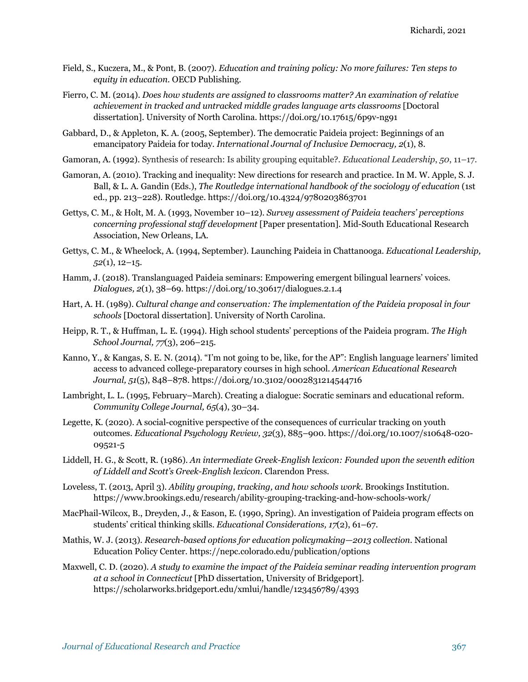- Field, S., Kuczera, M., & Pont, B. (2007). *Education and training policy: No more failures: Ten steps to equity in education*. OECD Publishing.
- Fierro, C. M. (2014). *Does how students are assigned to classrooms matter? An examination of relative achievement in tracked and untracked middle grades language arts classrooms* [Doctoral dissertation]. University of North Carolina. https://doi.org/10.17615/6p9v-ng91
- Gabbard, D., & Appleton, K. A. (2005, September). The democratic Paideia project: Beginnings of an emancipatory Paideia for today. *International Journal of Inclusive Democracy, 2*(1), 8.
- Gamoran, A. (1992). Synthesis of research: Is ability grouping equitable?. *Educational Leadership*, *50*, 11–17.
- Gamoran, A. (2010). Tracking and inequality: New directions for research and practice. In M. W. Apple, S. J. Ball, & L. A. Gandin (Eds.), *The Routledge international handbook of the sociology of education* (1st ed., pp. 213–228). Routledge. https://doi.org/10.4324/9780203863701
- Gettys, C. M., & Holt, M. A. (1993, November 10–12). *Survey assessment of Paideia teachers' perceptions concerning professional staff development* [Paper presentation]. Mid-South Educational Research Association, New Orleans, LA.
- Gettys, C. M., & Wheelock, A. (1994, September). Launching Paideia in Chattanooga. *Educational Leadership, 52*(1), 12–15.
- Hamm, J. (2018). Translanguaged Paideia seminars: Empowering emergent bilingual learners' voices. *Dialogues, 2*(1), 38–69. https://doi.org/10.30617/dialogues.2.1.4
- Hart, A. H. (1989). *Cultural change and conservation: The implementation of the Paideia proposal in four schools* [Doctoral dissertation]. University of North Carolina.
- Heipp, R. T., & Huffman, L. E. (1994). High school students' perceptions of the Paideia program. *The High School Journal, 77*(3), 206–215.
- Kanno, Y., & Kangas, S. E. N. (2014). "I'm not going to be, like, for the AP": English language learners' limited access to advanced college-preparatory courses in high school. *American Educational Research Journal, 51*(5), 848–878. https://doi.org/10.3102/0002831214544716
- Lambright, L. L. (1995, February–March). Creating a dialogue: Socratic seminars and educational reform. *Community College Journal, 65*(4), 30–34.
- Legette, K. (2020). A social-cognitive perspective of the consequences of curricular tracking on youth outcomes. *Educational Psychology Review, 32*(3), 885–900. https://doi.org/10.1007/s10648-020- 09521-5
- Liddell, H. G., & Scott, R. (1986). *An intermediate Greek-English lexicon: Founded upon the seventh edition of Liddell and Scott's Greek-English lexicon*. Clarendon Press.
- Loveless, T. (2013, April 3). *Ability grouping, tracking, and how schools work*. Brookings Institution. https://www.brookings.edu/research/ability-grouping-tracking-and-how-schools-work/
- MacPhail-Wilcox, B., Dreyden, J., & Eason, E. (1990, Spring). An investigation of Paideia program effects on students' critical thinking skills. *Educational Considerations, 17*(2), 61–67.
- Mathis, W. J. (2013). *Research-based options for education policymaking—2013 collection*. National Education Policy Center. https://nepc.colorado.edu/publication/options
- Maxwell, C. D. (2020). *A study to examine the impact of the Paideia seminar reading intervention program at a school in Connecticut* [PhD dissertation, University of Bridgeport]. https://scholarworks.bridgeport.edu/xmlui/handle/123456789/4393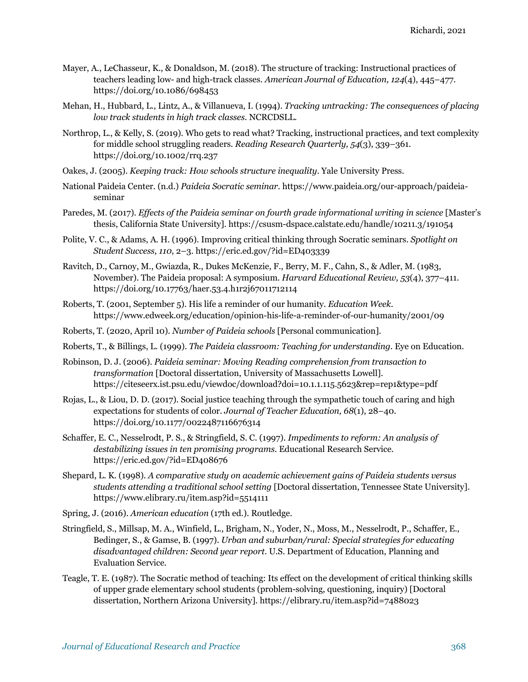- Mayer, A., LeChasseur, K., & Donaldson, M. (2018). The structure of tracking: Instructional practices of teachers leading low- and high-track classes. *American Journal of Education, 124*(4), 445–477. https://doi.org/10.1086/698453
- Mehan, H., Hubbard, L., Lintz, A., & Villanueva, I. (1994). *Tracking untracking: The consequences of placing low track students in high track classes*. NCRCDSLL.
- Northrop, L., & Kelly, S. (2019). Who gets to read what? Tracking, instructional practices, and text complexity for middle school struggling readers. *Reading Research Quarterly, 54*(3), 339–361. https://doi.org/10.1002/rrq.237
- Oakes, J. (2005). *Keeping track: How schools structure inequality*. Yale University Press.
- National Paideia Center. (n.d.) *Paideia Socratic seminar*. https://www.paideia.org/our-approach/paideiaseminar
- Paredes, M. (2017). *Effects of the Paideia seminar on fourth grade informational writing in science* [Master's thesis, California State University]. https://csusm-dspace.calstate.edu/handle/10211.3/191054
- Polite, V. C., & Adams, A. H. (1996). Improving critical thinking through Socratic seminars. *Spotlight on Student Success, 110*, 2–3. https://eric.ed.gov/?id=ED403339
- Ravitch, D., Carnoy, M., Gwiazda, R., Dukes McKenzie, F., Berry, M. F., Cahn, S., & Adler, M. (1983, November). The Paideia proposal: A symposium. *Harvard Educational Review, 53*(4), 377–411. https://doi.org/10.17763/haer.53.4.h1r2j67011712114
- Roberts, T. (2001, September 5). His life a reminder of our humanity. *Education Week*. https://www.edweek.org/education/opinion-his-life-a-reminder-of-our-humanity/2001/09
- Roberts, T. (2020, April 10). *Number of Paideia schools* [Personal communication].
- Roberts, T., & Billings, L. (1999). *The Paideia classroom: Teaching for understanding*. Eye on Education.
- Robinson, D. J. (2006). *Paideia seminar: Moving Reading comprehension from transaction to transformation* [Doctoral dissertation, University of Massachusetts Lowell]. https://citeseerx.ist.psu.edu/viewdoc/download?doi=10.1.1.115.5623&rep=rep1&type=pdf
- Rojas, L., & Liou, D. D. (2017). Social justice teaching through the sympathetic touch of caring and high expectations for students of color. *Journal of Teacher Education, 68*(1), 28–40. https://doi.org/10.1177/0022487116676314
- Schaffer, E. C., Nesselrodt, P. S., & Stringfield, S. C. (1997). *Impediments to reform: An analysis of destabilizing issues in ten promising programs*. Educational Research Service. https://eric.ed.gov/?id=ED408676
- Shepard, L. K. (1998). *A comparative study on academic achievement gains of Paideia students versus students attending a traditional school setting* [Doctoral dissertation, Tennessee State University]. https://www.elibrary.ru/item.asp?id=5514111
- Spring, J. (2016). *American education* (17th ed.). Routledge.
- Stringfield, S., Millsap, M. A., Winfield, L., Brigham, N., Yoder, N., Moss, M., Nesselrodt, P., Schaffer, E., Bedinger, S., & Gamse, B. (1997). *Urban and suburban/rural: Special strategies for educating disadvantaged children: Second year report*. U.S. Department of Education, Planning and Evaluation Service.
- Teagle, T. E. (1987). The Socratic method of teaching: Its effect on the development of critical thinking skills of upper grade elementary school students (problem-solving, questioning, inquiry) [Doctoral dissertation, Northern Arizona University]. https://elibrary.ru/item.asp?id=7488023